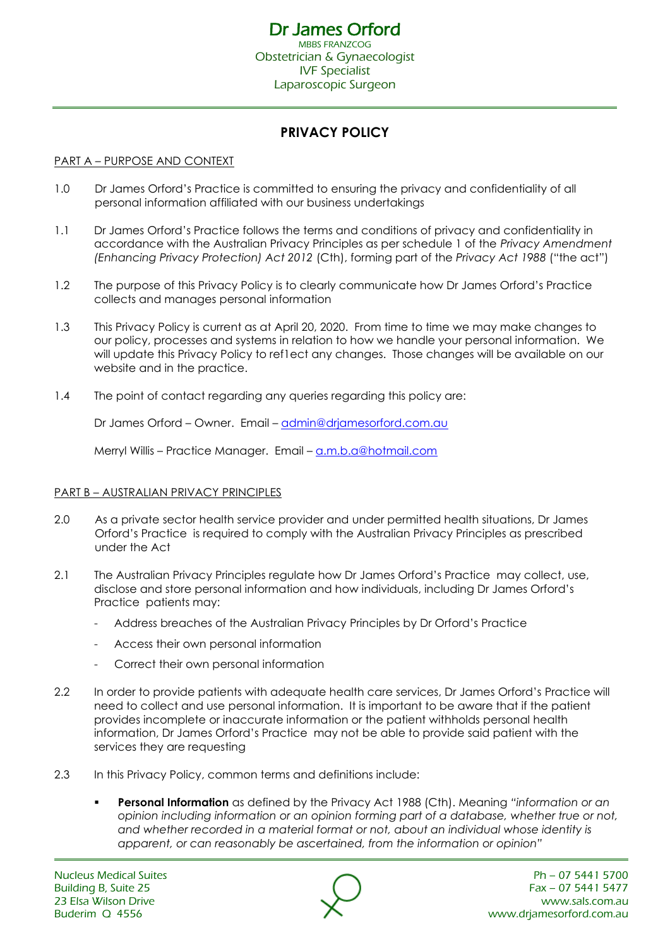# **PRIVACY POLICY**

# PART A – PURPOSE AND CONTEXT

- 1.0 Dr James Orford's Practice is committed to ensuring the privacy and confidentiality of all personal information affiliated with our business undertakings
- 1.1 Dr James Orford's Practice follows the terms and conditions of privacy and confidentiality in accordance with the Australian Privacy Principles as per schedule 1 of the *Privacy Amendment (Enhancing Privacy Protection) Act 2012* (Cth), forming part of the *Privacy Act 1988* ("the act")
- 1.2 The purpose of this Privacy Policy is to clearly communicate how Dr James Orford's Practice collects and manages personal information
- 1.3 This Privacy Policy is current as at April 20, 2020. From time to time we may make changes to our policy, processes and systems in relation to how we handle your personal information. We will update this Privacy Policy to ref1ect any changes. Those changes will be available on our website and in the practice.
- 1.4 The point of contact regarding any queries regarding this policy are:

Dr James Orford – Owner. Email – [admin@drjamesorford.com.au](mailto:admin@drjamesorford.com.au)

Merryl Willis – Practice Manager. Email – [a.m.b.a@hotmail.com](mailto:a.m.b.a@hotmail.com)

#### PART B – AUSTRALIAN PRIVACY PRINCIPLES

- 2.0 As a private sector health service provider and under permitted health situations, Dr James Orford's Practice is required to comply with the Australian Privacy Principles as prescribed under the Act
- 2.1 The Australian Privacy Principles regulate how Dr James Orford's Practice may collect, use, disclose and store personal information and how individuals, including Dr James Orford's Practice patients may:
	- Address breaches of the Australian Privacy Principles by Dr Orford's Practice
	- Access their own personal information
	- Correct their own personal information
- 2.2 In order to provide patients with adequate health care services, Dr James Orford's Practice will need to collect and use personal information. It is important to be aware that if the patient provides incomplete or inaccurate information or the patient withholds personal health information, Dr James Orford's Practice may not be able to provide said patient with the services they are requesting
- 2.3 In this Privacy Policy, common terms and definitions include:
	- **Personal Information** as defined by the Privacy Act 1988 (Cth). Meaning *"information or an opinion including information or an opinion forming part of a database, whether true or not, and whether recorded in a material format or not, about an individual whose identity is apparent, or can reasonably be ascertained, from the information or opinion"*

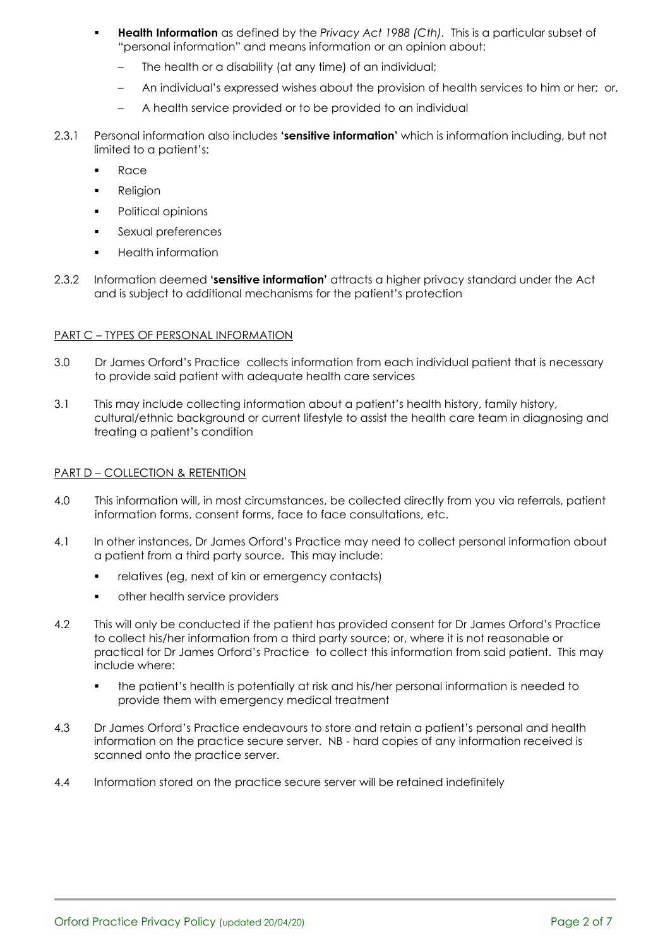- **Health Information** as defined by the *Privacy Act 1988 (Cth)*. This is a particular subset of "personal information" and means information or an opinion about:
	- The health or a disability (at any time) of an individual;
	- An individual's expressed wishes about the provision of health services to him or her; or,
	- A health service provided or to be provided to an individual
- 2.3.1 Personal information also includes **'sensitive information'** which is information including, but not limited to a patient's:
	- **Race**
	- Religion
	- Political opinions
	- **•** Sexual preferences
	- **Health information**
- 2.3.2 Information deemed **'sensitive information'** attracts a higher privacy standard under the Act and is subject to additional mechanisms for the patient's protection

# PART C – TYPES OF PERSONAL INFORMATION

- 3.0 Dr James Orford's Practice collects information from each individual patient that is necessary to provide said patient with adequate health care services
- 3.1 This may include collecting information about a patient's health history, family history, cultural/ethnic background or current lifestyle to assist the health care team in diagnosing and treating a patient's condition

# PART D – COLLECTION & RETENTION

- 4.0 This information will, in most circumstances, be collected directly from you via referrals, patient information forms, consent forms, face to face consultations, etc.
- 4.1 In other instances, Dr James Orford's Practice may need to collect personal information about a patient from a third party source. This may include:
	- relatives (eg, next of kin or emergency contacts)
	- other health service providers
- 4.2 This will only be conducted if the patient has provided consent for Dr James Orford's Practice to collect his/her information from a third party source; or, where it is not reasonable or practical for Dr James Orford's Practice to collect this information from said patient. This may include where:
	- the patient's health is potentially at risk and his/her personal information is needed to provide them with emergency medical treatment
- 4.3 Dr James Orford's Practice endeavours to store and retain a patient's personal and health information on the practice secure server. NB - hard copies of any information received is scanned onto the practice server.
- 4.4 Information stored on the practice secure server will be retained indefinitely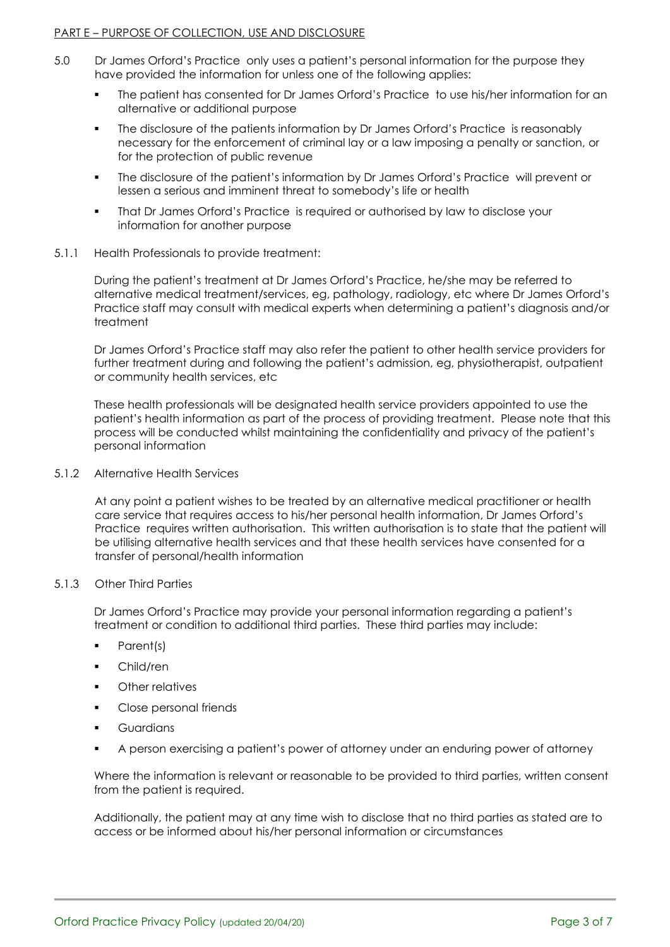#### PART E – PURPOSE OF COLLECTION, USE AND DISCLOSURE

- 5.0 Dr James Orford's Practice only uses a patient's personal information for the purpose they have provided the information for unless one of the following applies:
	- The patient has consented for Dr James Orford's Practice to use his/her information for an alternative or additional purpose
	- The disclosure of the patients information by Dr James Orford's Practice is reasonably necessary for the enforcement of criminal lay or a law imposing a penalty or sanction, or for the protection of public revenue
	- The disclosure of the patient's information by Dr James Orford's Practice will prevent or lessen a serious and imminent threat to somebody's life or health
	- That Dr James Orford's Practice is required or authorised by law to disclose your information for another purpose

#### 5.1.1 Health Professionals to provide treatment:

During the patient's treatment at Dr James Orford's Practice, he/she may be referred to alternative medical treatment/services, eg, pathology, radiology, etc where Dr James Orford's Practice staff may consult with medical experts when determining a patient's diagnosis and/or treatment

Dr James Orford's Practice staff may also refer the patient to other health service providers for further treatment during and following the patient's admission, eg, physiotherapist, outpatient or community health services, etc

These health professionals will be designated health service providers appointed to use the patient's health information as part of the process of providing treatment. Please note that this process will be conducted whilst maintaining the confidentiality and privacy of the patient's personal information

5.1.2 Alternative Health Services

At any point a patient wishes to be treated by an alternative medical practitioner or health care service that requires access to his/her personal health information, Dr James Orford's Practice requires written authorisation. This written authorisation is to state that the patient will be utilising alternative health services and that these health services have consented for a transfer of personal/health information

## 5.1.3 Other Third Parties

Dr James Orford's Practice may provide your personal information regarding a patient's treatment or condition to additional third parties. These third parties may include:

- Parent(s)
- Child/ren
- Other relatives
- Close personal friends
- **Guardians**
- A person exercising a patient's power of attorney under an enduring power of attorney

Where the information is relevant or reasonable to be provided to third parties, written consent from the patient is required.

Additionally, the patient may at any time wish to disclose that no third parties as stated are to access or be informed about his/her personal information or circumstances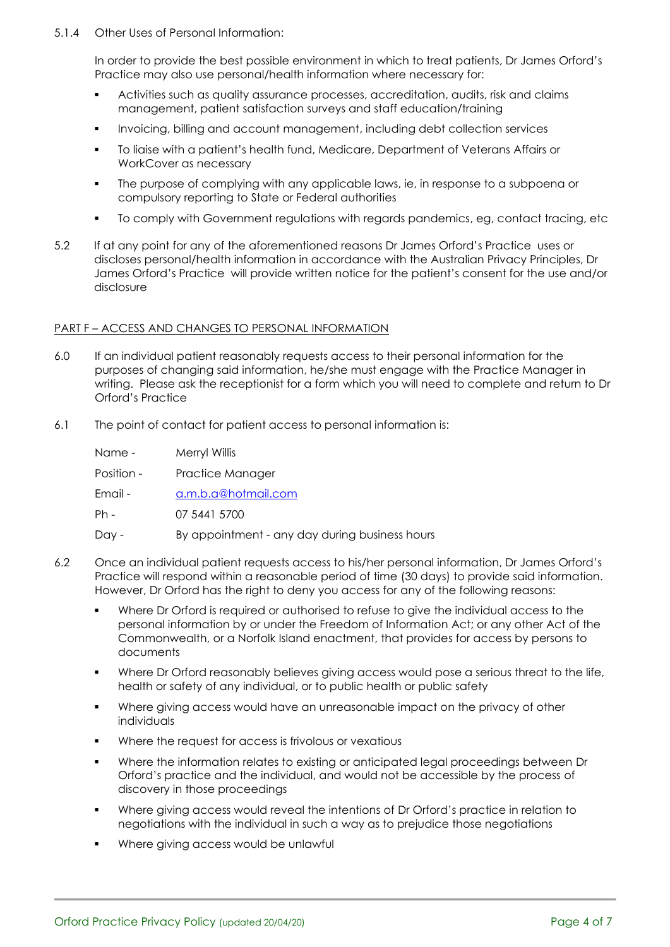5.1.4 Other Uses of Personal Information:

In order to provide the best possible environment in which to treat patients, Dr James Orford's Practice may also use personal/health information where necessary for:

- Activities such as quality assurance processes, accreditation, audits, risk and claims management, patient satisfaction surveys and staff education/training
- Invoicing, billing and account management, including debt collection services
- To liaise with a patient's health fund, Medicare, Department of Veterans Affairs or WorkCover as necessary
- The purpose of complying with any applicable laws, ie, in response to a subpoena or compulsory reporting to State or Federal authorities
- To comply with Government regulations with regards pandemics, eg, contact tracing, etc
- 5.2 If at any point for any of the aforementioned reasons Dr James Orford's Practice uses or discloses personal/health information in accordance with the Australian Privacy Principles, Dr James Orford's Practice will provide written notice for the patient's consent for the use and/or disclosure

#### PART F – ACCESS AND CHANGES TO PERSONAL INFORMATION

- 6.0 If an individual patient reasonably requests access to their personal information for the purposes of changing said information, he/she must engage with the Practice Manager in writing. Please ask the receptionist for a form which you will need to complete and return to Dr Orford's Practice
- 6.1 The point of contact for patient access to personal information is:

| Name -     | Merryl Willis                                  |
|------------|------------------------------------------------|
| Position - | Practice Manager                               |
| Email -    | a.m.b.a@hotmail.com                            |
| $Ph -$     | 07 5441 5700                                   |
| Day -      | By appointment - any day during business hours |

- 6.2 Once an individual patient requests access to his/her personal information, Dr James Orford's Practice will respond within a reasonable period of time (30 days) to provide said information. However, Dr Orford has the right to deny you access for any of the following reasons:
	- Where Dr Orford is required or authorised to refuse to give the individual access to the personal information by or under the Freedom of Information Act; or any other Act of the Commonwealth, or a Norfolk Island enactment, that provides for access by persons to documents
	- Where Dr Orford reasonably believes giving access would pose a serious threat to the life, health or safety of any individual, or to public health or public safety
	- Where giving access would have an unreasonable impact on the privacy of other individuals
	- Where the request for access is frivolous or vexatious
	- Where the information relates to existing or anticipated legal proceedings between Dr Orford's practice and the individual, and would not be accessible by the process of discovery in those proceedings
	- Where giving access would reveal the intentions of Dr Orford's practice in relation to negotiations with the individual in such a way as to prejudice those negotiations
	- Where giving access would be unlawful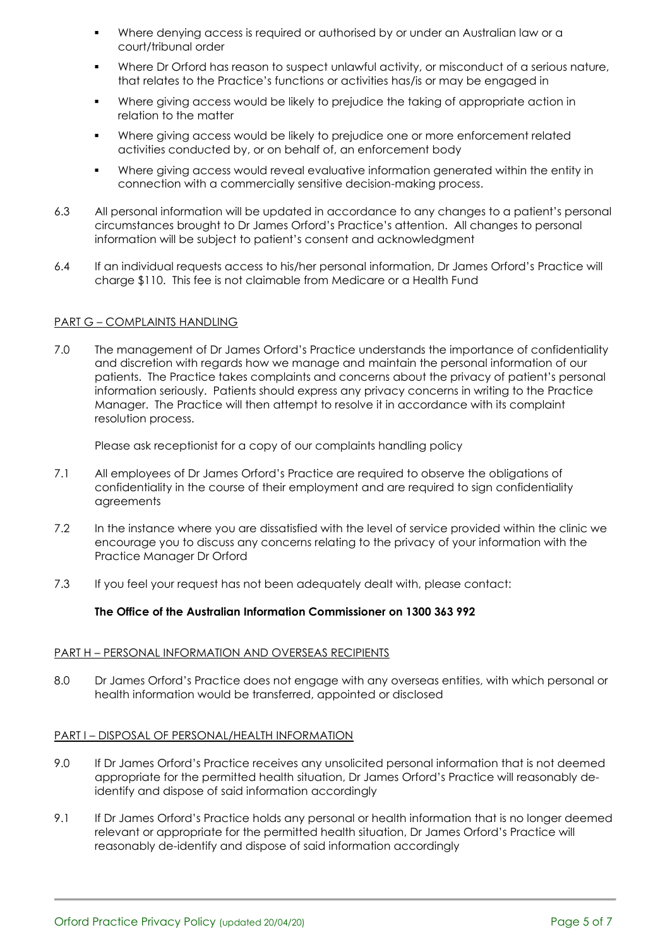- Where denying access is required or authorised by or under an Australian law or a court/tribunal order
- Where Dr Orford has reason to suspect unlawful activity, or misconduct of a serious nature, that relates to the Practice's functions or activities has/is or may be engaged in
- Where giving access would be likely to prejudice the taking of appropriate action in relation to the matter
- Where giving access would be likely to prejudice one or more enforcement related activities conducted by, or on behalf of, an enforcement body
- Where giving access would reveal evaluative information generated within the entity in connection with a commercially sensitive decision-making process.
- 6.3 All personal information will be updated in accordance to any changes to a patient's personal circumstances brought to Dr James Orford's Practice's attention. All changes to personal information will be subject to patient's consent and acknowledgment
- 6.4 If an individual requests access to his/her personal information, Dr James Orford's Practice will charge \$110. This fee is not claimable from Medicare or a Health Fund

#### PART G – COMPLAINTS HANDLING

7.0 The management of Dr James Orford's Practice understands the importance of confidentiality and discretion with regards how we manage and maintain the personal information of our patients. The Practice takes complaints and concerns about the privacy of patient's personal information seriously. Patients should express any privacy concerns in writing to the Practice Manager. The Practice will then attempt to resolve it in accordance with its complaint resolution process.

Please ask receptionist for a copy of our complaints handling policy

- 7.1 All employees of Dr James Orford's Practice are required to observe the obligations of confidentiality in the course of their employment and are required to sign confidentiality agreements
- 7.2 In the instance where you are dissatisfied with the level of service provided within the clinic we encourage you to discuss any concerns relating to the privacy of your information with the Practice Manager Dr Orford
- 7.3 If you feel your request has not been adequately dealt with, please contact:

# **The Office of the Australian Information Commissioner on 1300 363 992**

# PART H – PERSONAL INFORMATION AND OVERSEAS RECIPIENTS

8.0 Dr James Orford's Practice does not engage with any overseas entities, with which personal or health information would be transferred, appointed or disclosed

### PART I – DISPOSAL OF PERSONAL/HEALTH INFORMATION

- 9.0 If Dr James Orford's Practice receives any unsolicited personal information that is not deemed appropriate for the permitted health situation, Dr James Orford's Practice will reasonably deidentify and dispose of said information accordingly
- 9.1 If Dr James Orford's Practice holds any personal or health information that is no longer deemed relevant or appropriate for the permitted health situation, Dr James Orford's Practice will reasonably de-identify and dispose of said information accordingly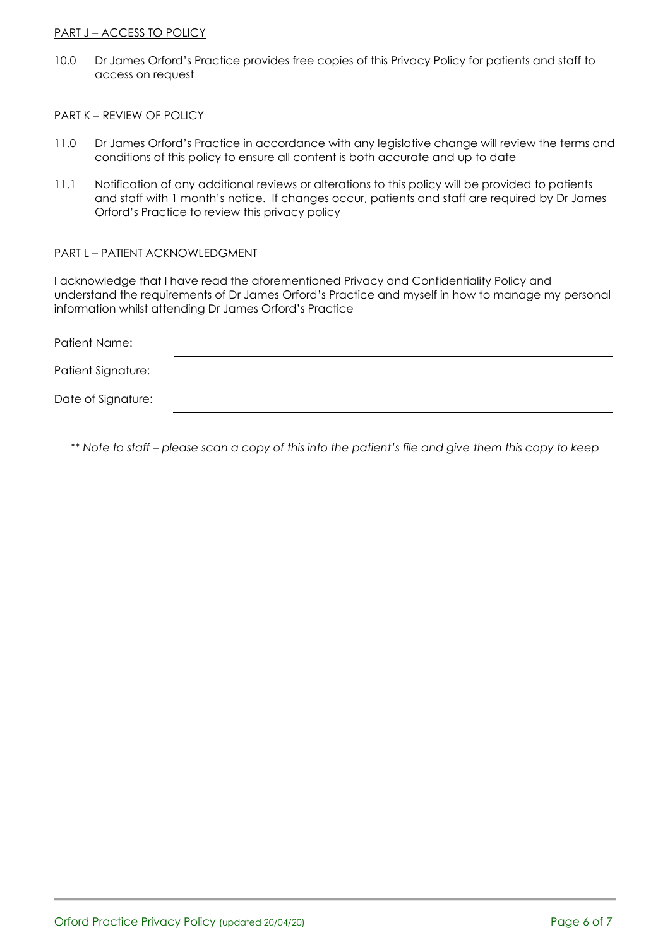### PART J - ACCESS TO POLICY

10.0 Dr James Orford's Practice provides free copies of this Privacy Policy for patients and staff to access on request

#### PART K – REVIEW OF POLICY

- 11.0 Dr James Orford's Practice in accordance with any legislative change will review the terms and conditions of this policy to ensure all content is both accurate and up to date
- 11.1 Notification of any additional reviews or alterations to this policy will be provided to patients and staff with 1 month's notice. If changes occur, patients and staff are required by Dr James Orford's Practice to review this privacy policy

#### PART L – PATIENT ACKNOWLEDGMENT

I acknowledge that I have read the aforementioned Privacy and Confidentiality Policy and understand the requirements of Dr James Orford's Practice and myself in how to manage my personal information whilst attending Dr James Orford's Practice

| Patient Name:      |  |  |
|--------------------|--|--|
| Patient Signature: |  |  |
| Date of Signature: |  |  |

*\*\* Note to staff – please scan a copy of this into the patient's file and give them this copy to keep*